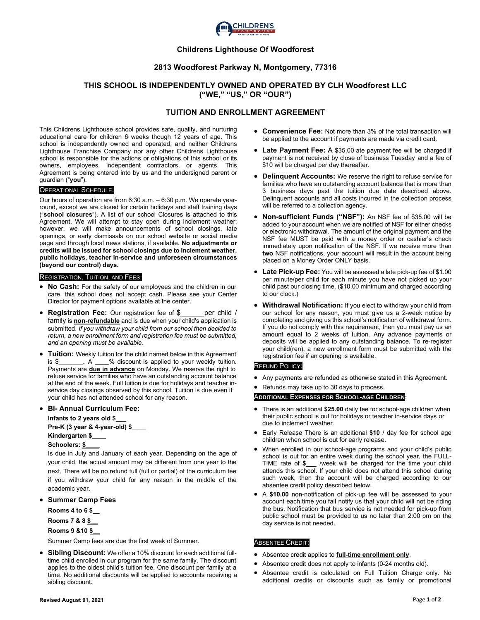

## **Childrens Lighthouse Of Woodforest**

## **2813 Woodforest Parkway N, Montgomery, 77316**

# **THIS SCHOOL IS INDEPENDENTLY OWNED AND OPERATED BY CLH Woodforest LLC ("WE," "US," OR "OUR")**

# **TUITION AND ENROLLMENT AGREEMENT**

This Childrens Lighthouse school provides safe, quality, and nurturing educational care for children 6 weeks though 12 years of age. This school is independently owned and operated, and neither Childrens Lighthouse Franchise Company nor any other Childrens Lighthouse school is responsible for the actions or obligations of this school or its owners, employees, independent contractors, or agents. This Agreement is being entered into by us and the undersigned parent or guardian ("**you**").

### OPERATIONAL SCHEDULE:

Our hours of operation are from 6:30 a.m. – 6:30 p.m. We operate yearround, except we are closed for certain holidays and staff training days ("**school closures**"). A list of our school Closures is attached to this Agreement. We will attempt to stay open during inclement weather; however, we will make announcements of school closings, late openings, or early dismissals on our school website or social media page and through local news stations, if available. **No adjustments or credits will be issued for school closings due to inclement weather, public holidays, teacher in-service and unforeseen circumstances (beyond our control) days.** 

#### REGISTRATION, TUITION, AND FEES:

- **No Cash:** For the safety of our employees and the children in our care, this school does not accept cash. Please see your Center Director for payment options available at the center.
- **Registration Fee:** Our registration fee of \$\_\_\_\_\_\_per child / family is **non-refundable** and is due when your child's application is submitted. *If you withdraw your child from our school then decided to return, a new enrollment form and registration fee must be submitted, and an opening must be available.*
- **Tuition:** Weekly tuition for the child named below in this Agreement is \$\_\_\_\_\_\_\_**.** A **\_\_\_\_%** discount is applied to your weekly tuition. Payments are **due in advance** on Monday. We reserve the right to refuse service for families who have an outstanding account balance at the end of the week. Full tuition is due for holidays and teacher inservice day closings observed by this school. Tuition is due even if your child has not attended school for any reason.

#### • **Bi- Annual Curriculum Fee:**

**Infants to 2 years old \$\_\_\_ Pre-K (3 year & 4-year-old) \$\_\_\_\_ Kindergarten \$\_\_\_\_ Schoolers: \$\_\_\_\_**

Is due in July and January of each year. Depending on the age of your child, the actual amount may be different from one year to the next. There will be no refund full (full or partial) of the curriculum fee if you withdraw your child for any reason in the middle of the academic year.

• **Summer Camp Fees**

**Rooms 4 to 6 \$\_\_**

**Rooms 7 & 8 \$\_\_**

**Rooms 9 &10 \$\_\_**

Summer Camp fees are due the first week of Summer.

• **Sibling Discount:** We offer a 10% discount for each additional fulltime child enrolled in our program for the same family. The discount applies to the oldest child's tuition fee. One discount per family at a time. No additional discounts will be applied to accounts receiving a sibling discount.

- **Convenience Fee:** Not more than 3% of the total transaction will be applied to the account if payments are made via credit card.
- **Late Payment Fee:** A \$35.00 ate payment fee will be charged if payment is not received by close of business Tuesday and a fee of \$10 will be charged per day thereafter.
- **Delinquent Accounts:** We reserve the right to refuse service for families who have an outstanding account balance that is more than 3 business days past the tuition due date described above. Delinquent accounts and all costs incurred in the collection process will be referred to a collection agency.
- **Non-sufficient Funds ("NSF"):** An NSF fee of \$35.00 will be added to your account when we are notified of NSF for either checks or electronic withdrawal. The amount of the original payment and the NSF fee MUST be paid with a money order or cashier's check immediately upon notification of the NSF. If we receive more than **two** NSF notifications, your account will result in the account being placed on a Money Order ONLY basis.
- **Late Pick-up Fee:** You will be assessed a late pick-up fee of \$1.00 per minute/per child for each minute you have not picked up your child past our closing time. (\$10.00 minimum and charged according to our clock.)
- **Withdrawal Notification:** If you elect to withdraw your child from our school for any reason, you must give us a 2-week notice by completing and giving us this school's notification of withdrawal form. If you do not comply with this requirement, then you must pay us an amount equal to 2 weeks of tuition. Any advance payments or deposits will be applied to any outstanding balance. To re-register your child(ren), a new enrollment form must be submitted with the registration fee if an opening is available.

### REFUND POLICY:

• Any payments are refunded as otherwise stated in this Agreement.

• Refunds may take up to 30 days to process.

#### A**DDITIONAL EXPENSES FOR SCHOOL-AGE CHILDREN:**

- There is an additional **\$25.00** daily fee for school-age children when their public school is out for holidays or teacher in-service days or due to inclement weather.
- Early Release There is an additional **\$10** / day fee for school age children when school is out for early release.
- When enrolled in our school-age programs and your child's public school is out for an entire week during the school year, the FULL-TIME rate of **\$\_\_\_** /week will be charged for the time your child attends this school. If your child does not attend this school during such week, then the account will be charged according to our absentee credit policy described below.
- A **\$10.00** non-notification of pick-up fee will be assessed to your account each time you fail notify us that your child will not be riding the bus. Notification that bus service is not needed for pick-up from public school must be provided to us no later than 2:00 pm on the day service is not needed.

#### ABSENTEE CREDIT:

- Absentee credit applies to **full-time enrollment only**.
- Absentee credit does not apply to infants (0-24 months old).
- Absentee credit is calculated on Full Tuition Charge only. No additional credits or discounts such as family or promotional